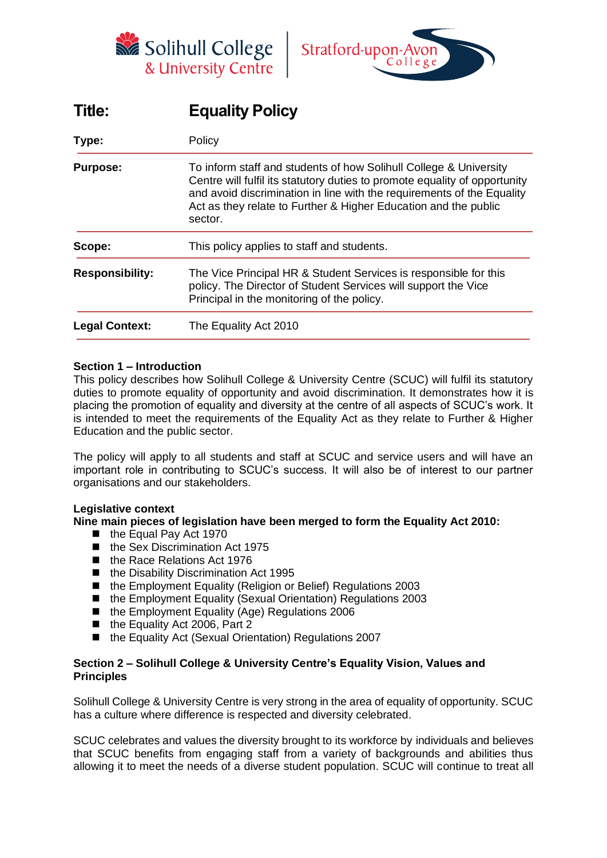



# **Title: Equality Policy**

| Type:                  | Policy<br>To inform staff and students of how Solihull College & University<br>Centre will fulfil its statutory duties to promote equality of opportunity<br>and avoid discrimination in line with the requirements of the Equality<br>Act as they relate to Further & Higher Education and the public<br>sector.<br>This policy applies to staff and students. |  |  |
|------------------------|-----------------------------------------------------------------------------------------------------------------------------------------------------------------------------------------------------------------------------------------------------------------------------------------------------------------------------------------------------------------|--|--|
| <b>Purpose:</b>        |                                                                                                                                                                                                                                                                                                                                                                 |  |  |
| Scope:                 |                                                                                                                                                                                                                                                                                                                                                                 |  |  |
| <b>Responsibility:</b> | The Vice Principal HR & Student Services is responsible for this<br>policy. The Director of Student Services will support the Vice<br>Principal in the monitoring of the policy.                                                                                                                                                                                |  |  |
| <b>Legal Context:</b>  | The Equality Act 2010                                                                                                                                                                                                                                                                                                                                           |  |  |

#### **Section 1 – Introduction**

This policy describes how Solihull College & University Centre (SCUC) will fulfil its statutory duties to promote equality of opportunity and avoid discrimination. It demonstrates how it is placing the promotion of equality and diversity at the centre of all aspects of SCUC's work. It is intended to meet the requirements of the Equality Act as they relate to Further & Higher Education and the public sector.

The policy will apply to all students and staff at SCUC and service users and will have an important role in contributing to SCUC's success. It will also be of interest to our partner organisations and our stakeholders.

#### **Legislative context**

**Nine main pieces of legislation have been merged to form the Equality Act 2010:**

- the Equal Pay Act 1970
- the Sex Discrimination Act 1975
- the Race Relations Act 1976
- the Disability Discrimination Act 1995
- the Employment Equality (Religion or Belief) Regulations 2003
- the Employment Equality (Sexual Orientation) Regulations 2003
- the Employment Equality (Age) Regulations 2006
- the Equality Act 2006, Part 2
- the Equality Act (Sexual Orientation) Regulations 2007

#### **Section 2 – Solihull College & University Centre's Equality Vision, Values and Principles**

Solihull College & University Centre is very strong in the area of equality of opportunity. SCUC has a culture where difference is respected and diversity celebrated.

SCUC celebrates and values the diversity brought to its workforce by individuals and believes that SCUC benefits from engaging staff from a variety of backgrounds and abilities thus allowing it to meet the needs of a diverse student population. SCUC will continue to treat all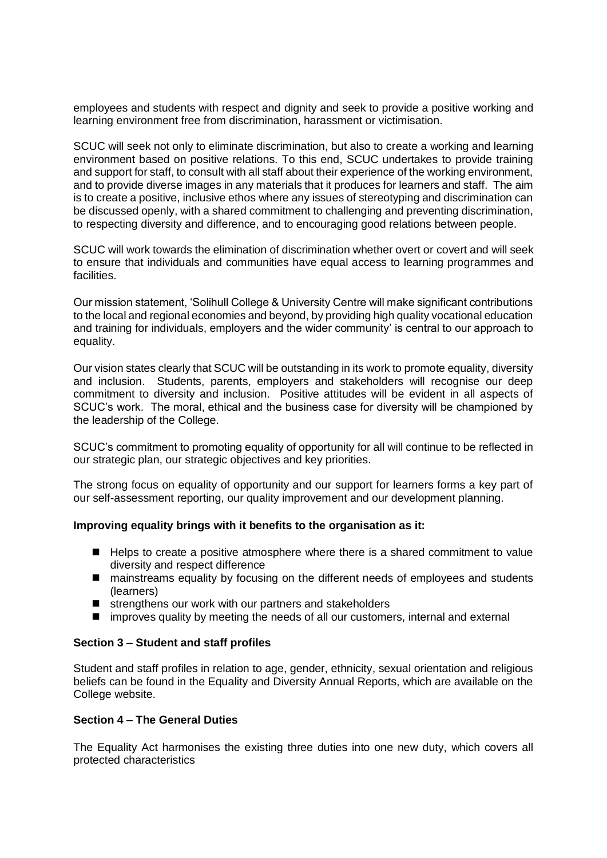employees and students with respect and dignity and seek to provide a positive working and learning environment free from discrimination, harassment or victimisation.

SCUC will seek not only to eliminate discrimination, but also to create a working and learning environment based on positive relations. To this end, SCUC undertakes to provide training and support for staff, to consult with all staff about their experience of the working environment, and to provide diverse images in any materials that it produces for learners and staff. The aim is to create a positive, inclusive ethos where any issues of stereotyping and discrimination can be discussed openly, with a shared commitment to challenging and preventing discrimination, to respecting diversity and difference, and to encouraging good relations between people.

SCUC will work towards the elimination of discrimination whether overt or covert and will seek to ensure that individuals and communities have equal access to learning programmes and facilities.

Our mission statement, 'Solihull College & University Centre will make significant contributions to the local and regional economies and beyond, by providing high quality vocational education and training for individuals, employers and the wider community' is central to our approach to equality.

Our vision states clearly that SCUC will be outstanding in its work to promote equality, diversity and inclusion. Students, parents, employers and stakeholders will recognise our deep commitment to diversity and inclusion. Positive attitudes will be evident in all aspects of SCUC's work. The moral, ethical and the business case for diversity will be championed by the leadership of the College.

SCUC's commitment to promoting equality of opportunity for all will continue to be reflected in our strategic plan, our strategic objectives and key priorities.

The strong focus on equality of opportunity and our support for learners forms a key part of our self-assessment reporting, our quality improvement and our development planning.

#### **Improving equality brings with it benefits to the organisation as it:**

- Helps to create a positive atmosphere where there is a shared commitment to value diversity and respect difference
- mainstreams equality by focusing on the different needs of employees and students (learners)
- strengthens our work with our partners and stakeholders
- improves quality by meeting the needs of all our customers, internal and external

#### **Section 3 – Student and staff profiles**

Student and staff profiles in relation to age, gender, ethnicity, sexual orientation and religious beliefs can be found in the Equality and Diversity Annual Reports, which are available on the College website.

#### **Section 4 – The General Duties**

The Equality Act harmonises the existing three duties into one new duty, which covers all protected characteristics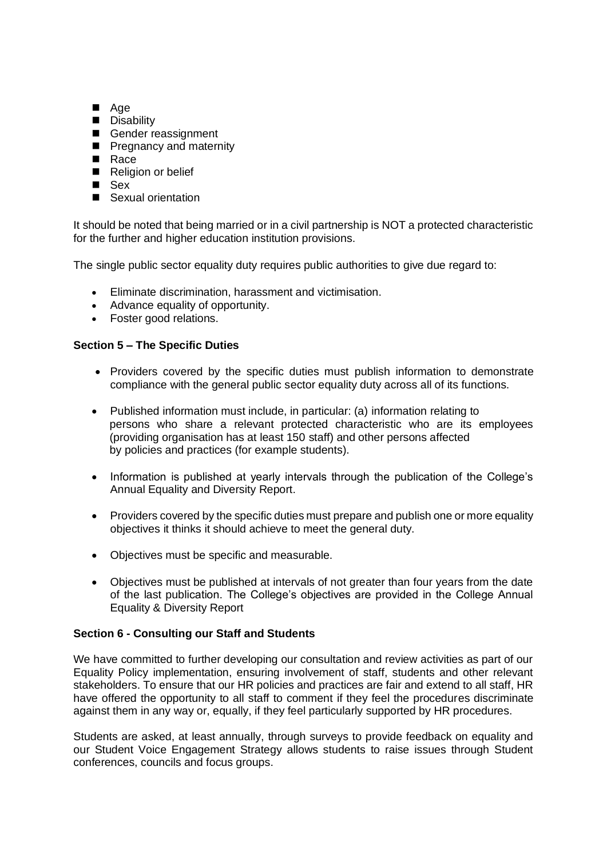- Age
- Disability
- Gender reassignment
- Pregnancy and maternity
- Race
- Religion or belief
- Sex
- Sexual orientation

It should be noted that being married or in a civil partnership is NOT a protected characteristic for the further and higher education institution provisions.

The single public sector equality duty requires public authorities to give due regard to:

- Eliminate discrimination, harassment and victimisation.
- Advance equality of opportunity.
- Foster good relations.

## **Section 5 – The Specific Duties**

- Providers covered by the specific duties must publish information to demonstrate compliance with the general public sector equality duty across all of its functions.
- Published information must include, in particular: (a) information relating to persons who share a relevant protected characteristic who are its employees (providing organisation has at least 150 staff) and other persons affected by policies and practices (for example students).
- Information is published at yearly intervals through the publication of the College's Annual Equality and Diversity Report.
- Providers covered by the specific duties must prepare and publish one or more equality objectives it thinks it should achieve to meet the general duty.
- Objectives must be specific and measurable.
- Objectives must be published at intervals of not greater than four years from the date of the last publication. The College's objectives are provided in the College Annual Equality & Diversity Report

#### **Section 6 - Consulting our Staff and Students**

We have committed to further developing our consultation and review activities as part of our Equality Policy implementation, ensuring involvement of staff, students and other relevant stakeholders. To ensure that our HR policies and practices are fair and extend to all staff, HR have offered the opportunity to all staff to comment if they feel the procedures discriminate against them in any way or, equally, if they feel particularly supported by HR procedures.

Students are asked, at least annually, through surveys to provide feedback on equality and our Student Voice Engagement Strategy allows students to raise issues through Student conferences, councils and focus groups.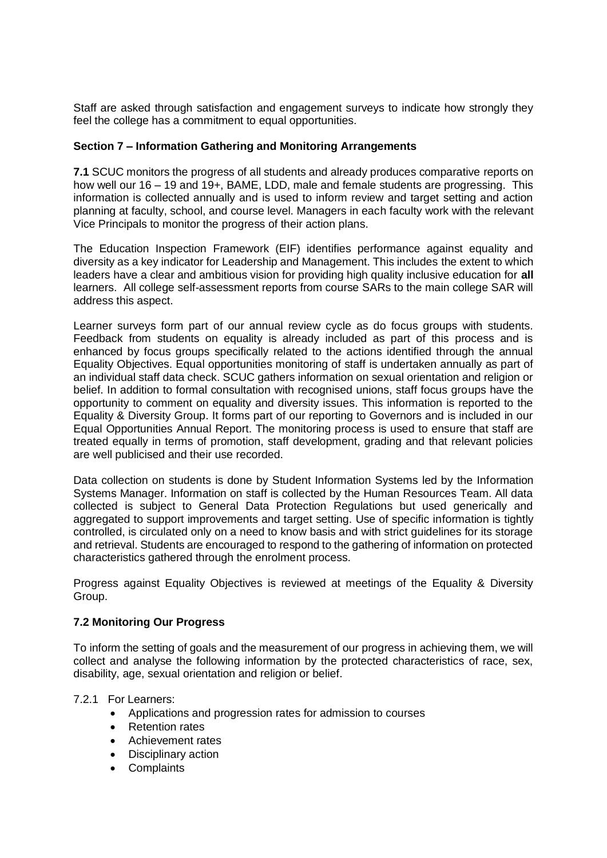Staff are asked through satisfaction and engagement surveys to indicate how strongly they feel the college has a commitment to equal opportunities.

#### **Section 7 – Information Gathering and Monitoring Arrangements**

**7.1** SCUC monitors the progress of all students and already produces comparative reports on how well our 16 – 19 and 19+, BAME, LDD, male and female students are progressing. This information is collected annually and is used to inform review and target setting and action planning at faculty, school, and course level. Managers in each faculty work with the relevant Vice Principals to monitor the progress of their action plans.

The Education Inspection Framework (EIF) identifies performance against equality and diversity as a key indicator for Leadership and Management. This includes the extent to which leaders have a clear and ambitious vision for providing high quality inclusive education for **all** learners. All college self-assessment reports from course SARs to the main college SAR will address this aspect.

Learner surveys form part of our annual review cycle as do focus groups with students. Feedback from students on equality is already included as part of this process and is enhanced by focus groups specifically related to the actions identified through the annual Equality Objectives. Equal opportunities monitoring of staff is undertaken annually as part of an individual staff data check. SCUC gathers information on sexual orientation and religion or belief. In addition to formal consultation with recognised unions, staff focus groups have the opportunity to comment on equality and diversity issues. This information is reported to the Equality & Diversity Group. It forms part of our reporting to Governors and is included in our Equal Opportunities Annual Report. The monitoring process is used to ensure that staff are treated equally in terms of promotion, staff development, grading and that relevant policies are well publicised and their use recorded.

Data collection on students is done by Student Information Systems led by the Information Systems Manager. Information on staff is collected by the Human Resources Team. All data collected is subject to General Data Protection Regulations but used generically and aggregated to support improvements and target setting. Use of specific information is tightly controlled, is circulated only on a need to know basis and with strict guidelines for its storage and retrieval. Students are encouraged to respond to the gathering of information on protected characteristics gathered through the enrolment process.

Progress against Equality Objectives is reviewed at meetings of the Equality & Diversity Group.

#### **7.2 Monitoring Our Progress**

To inform the setting of goals and the measurement of our progress in achieving them, we will collect and analyse the following information by the protected characteristics of race, sex, disability, age, sexual orientation and religion or belief.

#### 7.2.1 For Learners:

- Applications and progression rates for admission to courses
- Retention rates
- Achievement rates
- Disciplinary action
- Complaints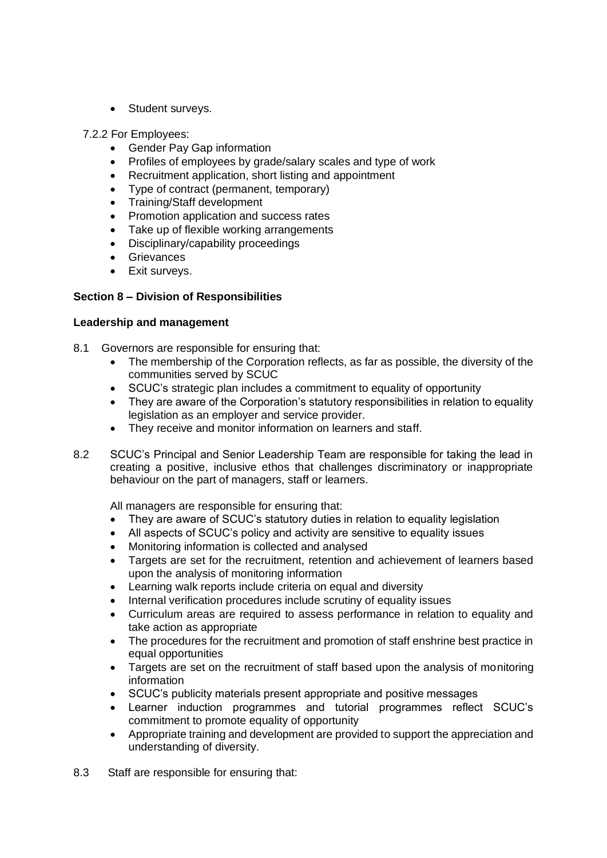• Student surveys.

7.2.2 For Employees:

- Gender Pay Gap information
- Profiles of employees by grade/salary scales and type of work
- Recruitment application, short listing and appointment
- Type of contract (permanent, temporary)
- Training/Staff development
- Promotion application and success rates
- Take up of flexible working arrangements
- Disciplinary/capability proceedings
- **Grievances**
- Exit surveys.

## **Section 8 – Division of Responsibilities**

#### **Leadership and management**

- 8.1 Governors are responsible for ensuring that:
	- The membership of the Corporation reflects, as far as possible, the diversity of the communities served by SCUC
	- SCUC's strategic plan includes a commitment to equality of opportunity
	- They are aware of the Corporation's statutory responsibilities in relation to equality legislation as an employer and service provider.
	- They receive and monitor information on learners and staff.
- 8.2 SCUC's Principal and Senior Leadership Team are responsible for taking the lead in creating a positive, inclusive ethos that challenges discriminatory or inappropriate behaviour on the part of managers, staff or learners.

All managers are responsible for ensuring that:

- They are aware of SCUC's statutory duties in relation to equality legislation
- All aspects of SCUC's policy and activity are sensitive to equality issues
- Monitoring information is collected and analysed
- Targets are set for the recruitment, retention and achievement of learners based upon the analysis of monitoring information
- Learning walk reports include criteria on equal and diversity
- Internal verification procedures include scrutiny of equality issues
- Curriculum areas are required to assess performance in relation to equality and take action as appropriate
- The procedures for the recruitment and promotion of staff enshrine best practice in equal opportunities
- Targets are set on the recruitment of staff based upon the analysis of monitoring information
- SCUC's publicity materials present appropriate and positive messages
- Learner induction programmes and tutorial programmes reflect SCUC's commitment to promote equality of opportunity
- Appropriate training and development are provided to support the appreciation and understanding of diversity.
- 8.3 Staff are responsible for ensuring that: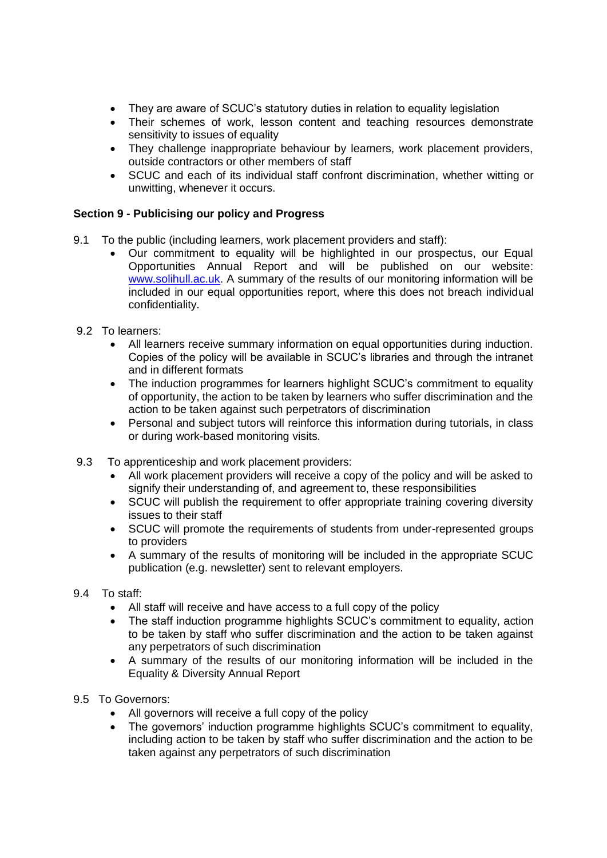- They are aware of SCUC's statutory duties in relation to equality legislation
- Their schemes of work, lesson content and teaching resources demonstrate sensitivity to issues of equality
- They challenge inappropriate behaviour by learners, work placement providers, outside contractors or other members of staff
- SCUC and each of its individual staff confront discrimination, whether witting or unwitting, whenever it occurs.

# **Section 9 - Publicising our policy and Progress**

- 9.1 To the public (including learners, work placement providers and staff):
	- Our commitment to equality will be highlighted in our prospectus, our Equal Opportunities Annual Report and will be published on our website: [www.solihull.ac.uk.](http://www.solihull.ac.uk/) A summary of the results of our monitoring information will be included in our equal opportunities report, where this does not breach individual confidentiality.
- 9.2 To learners:
	- All learners receive summary information on equal opportunities during induction. Copies of the policy will be available in SCUC's libraries and through the intranet and in different formats
	- The induction programmes for learners highlight SCUC's commitment to equality of opportunity, the action to be taken by learners who suffer discrimination and the action to be taken against such perpetrators of discrimination
	- Personal and subject tutors will reinforce this information during tutorials, in class or during work-based monitoring visits.
- 9.3 To apprenticeship and work placement providers:
	- All work placement providers will receive a copy of the policy and will be asked to signify their understanding of, and agreement to, these responsibilities
	- SCUC will publish the requirement to offer appropriate training covering diversity issues to their staff
	- SCUC will promote the requirements of students from under-represented groups to providers
	- A summary of the results of monitoring will be included in the appropriate SCUC publication (e.g. newsletter) sent to relevant employers.
- 9.4 To staff:
	- All staff will receive and have access to a full copy of the policy
	- The staff induction programme highlights SCUC's commitment to equality, action to be taken by staff who suffer discrimination and the action to be taken against any perpetrators of such discrimination
	- A summary of the results of our monitoring information will be included in the Equality & Diversity Annual Report
- 9.5 To Governors:
	- All governors will receive a full copy of the policy
	- The governors' induction programme highlights SCUC's commitment to equality, including action to be taken by staff who suffer discrimination and the action to be taken against any perpetrators of such discrimination